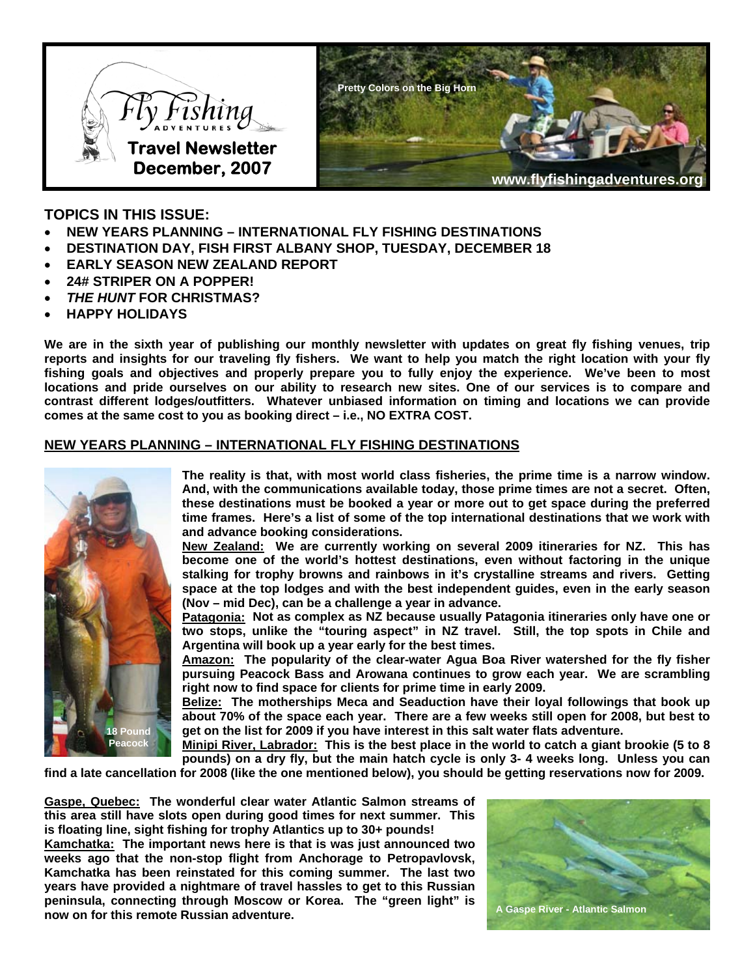

# **TOPICS IN THIS ISSUE:**

- **NEW YEARS PLANNING INTERNATIONAL FLY FISHING DESTINATIONS**
- **DESTINATION DAY, FISH FIRST ALBANY SHOP, TUESDAY, DECEMBER 18**
- **EARLY SEASON NEW ZEALAND REPORT**
- **24# STRIPER ON A POPPER!**
- *THE HUNT* **FOR CHRISTMAS?**
- **HAPPY HOLIDAYS**

**We are in the sixth year of publishing our monthly newsletter with updates on great fly fishing venues, trip reports and insights for our traveling fly fishers. We want to help you match the right location with your fly fishing goals and objectives and properly prepare you to fully enjoy the experience. We've been to most locations and pride ourselves on our ability to research new sites. One of our services is to compare and contrast different lodges/outfitters. Whatever unbiased information on timing and locations we can provide comes at the same cost to you as booking direct – i.e., NO EXTRA COST.** 

### **NEW YEARS PLANNING – INTERNATIONAL FLY FISHING DESTINATIONS**



**The reality is that, with most world class fisheries, the prime time is a narrow window. And, with the communications available today, those prime times are not a secret. Often, these destinations must be booked a year or more out to get space during the preferred time frames. Here's a list of some of the top international destinations that we work with and advance booking considerations.** 

**New Zealand: We are currently working on several 2009 itineraries for NZ. This has become one of the world's hottest destinations, even without factoring in the unique stalking for trophy browns and rainbows in it's crystalline streams and rivers. Getting space at the top lodges and with the best independent guides, even in the early season (Nov – mid Dec), can be a challenge a year in advance.** 

Patagonia: Not as complex as NZ because usually Patagonia itineraries only have one or **two stops, unlike the "touring aspect" in NZ travel. Still, the top spots in Chile and Argentina will book up a year early for the best times.** 

**Amazon: The popularity of the clear-water Agua Boa River watershed for the fly fisher pursuing Peacock Bass and Arowana continues to grow each year. We are scrambling right now to find space for clients for prime time in early 2009.** 

**Belize: The motherships Meca and Seaduction have their loyal followings that book up about 70% of the space each year. There are a few weeks still open for 2008, but best to get on the list for 2009 if you have interest in this salt water flats adventure.** 

**Minipi River, Labrador: This is the best place in the world to catch a giant brookie (5 to 8 pounds) on a dry fly, but the main hatch cycle is only 3- 4 weeks long. Unless you can** 

**find a late cancellation for 2008 (like the one mentioned below), you should be getting reservations now for 2009.** 

**Gaspe, Quebec: The wonderful clear water Atlantic Salmon streams of this area still have slots open during good times for next summer. This is floating line, sight fishing for trophy Atlantics up to 30+ pounds!** 

**Kamchatka: The important news here is that is was just announced two weeks ago that the non-stop flight from Anchorage to Petropavlovsk, Kamchatka has been reinstated for this coming summer. The last two years have provided a nightmare of travel hassles to get to this Russian peninsula, connecting through Moscow or Korea. The "green light" is now on for this remote Russian adventure. CONSIDERITY CONSIDERITY A Gaspe River - Atlantic Salmon now on for this remote Russian adventure.** 

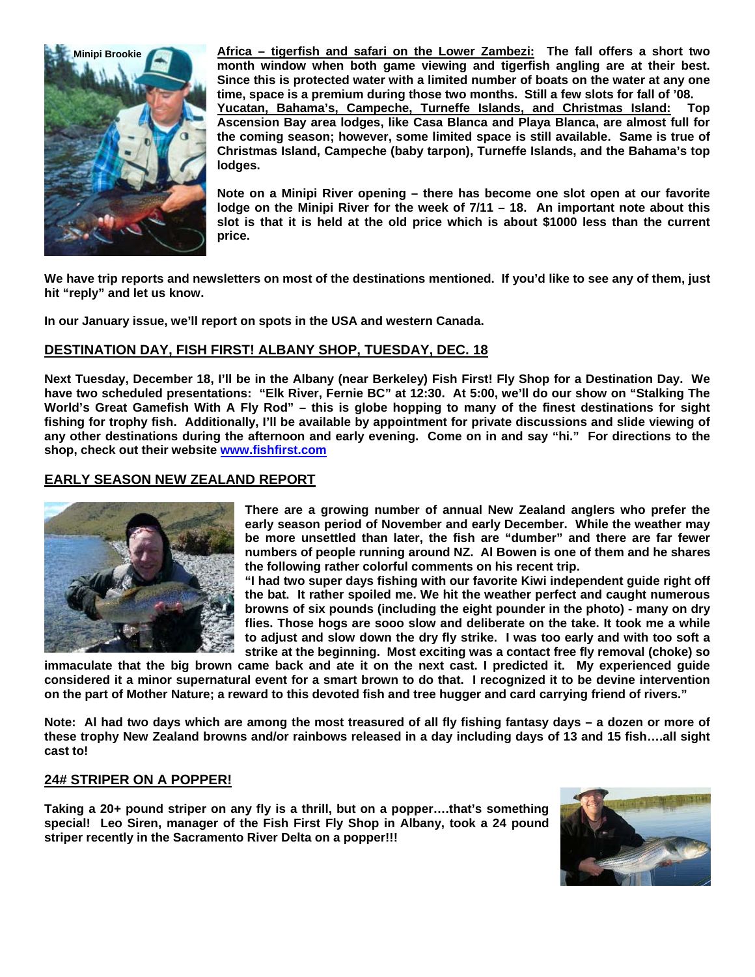

**Africa – tigerfish and safari on the Lower Zambezi: The fall offers a short two month window when both game viewing and tigerfish angling are at their best. Since this is protected water with a limited number of boats on the water at any one time, space is a premium during those two months. Still a few slots for fall of '08. Yucatan, Bahama's, Campeche, Turneffe Islands, and Christmas Island: Top Ascension Bay area lodges, like Casa Blanca and Playa Blanca, are almost full for the coming season; however, some limited space is still available. Same is true of Christmas Island, Campeche (baby tarpon), Turneffe Islands, and the Bahama's top lodges.** 

**Note on a Minipi River opening – there has become one slot open at our favorite lodge on the Minipi River for the week of 7/11 – 18. An important note about this slot is that it is held at the old price which is about \$1000 less than the current price.** 

**We have trip reports and newsletters on most of the destinations mentioned. If you'd like to see any of them, just hit "reply" and let us know.** 

**In our January issue, we'll report on spots in the USA and western Canada.** 

## **DESTINATION DAY, FISH FIRST! ALBANY SHOP, TUESDAY, DEC. 18**

**Next Tuesday, December 18, I'll be in the Albany (near Berkeley) Fish First! Fly Shop for a Destination Day. We have two scheduled presentations: "Elk River, Fernie BC" at 12:30. At 5:00, we'll do our show on "Stalking The World's Great Gamefish With A Fly Rod" – this is globe hopping to many of the finest destinations for sight fishing for trophy fish. Additionally, I'll be available by appointment for private discussions and slide viewing of any other destinations during the afternoon and early evening. Come on in and say "hi." For directions to the shop, check out their website [www.fishfirst.com](http://www.fishfirst.com/)**

### **EARLY SEASON NEW ZEALAND REPORT**



**There are a growing number of annual New Zealand anglers who prefer the early season period of November and early December. While the weather may be more unsettled than later, the fish are "dumber" and there are far fewer numbers of people running around NZ. Al Bowen is one of them and he shares the following rather colorful comments on his recent trip.** 

**"I had two super days fishing with our favorite Kiwi independent guide right off the bat. It rather spoiled me. We hit the weather perfect and caught numerous browns of six pounds (including the eight pounder in the photo) - many on dry flies. Those hogs are sooo slow and deliberate on the take. It took me a while to adjust and slow down the dry fly strike. I was too early and with too soft a strike at the beginning. Most exciting was a contact free fly removal (choke) so** 

**immaculate that the big brown came back and ate it on the next cast. I predicted it. My experienced guide considered it a minor supernatural event for a smart brown to do that. I recognized it to be devine intervention on the part of Mother Nature; a reward to this devoted fish and tree hugger and card carrying friend of rivers."** 

**Note: Al had two days which are among the most treasured of all fly fishing fantasy days – a dozen or more of these trophy New Zealand browns and/or rainbows released in a day including days of 13 and 15 fish….all sight cast to!** 

#### **24# STRIPER ON A POPPER!**

**Taking a 20+ pound striper on any fly is a thrill, but on a popper….that's something special! Leo Siren, manager of the Fish First Fly Shop in Albany, took a 24 pound striper recently in the Sacramento River Delta on a popper!!!**